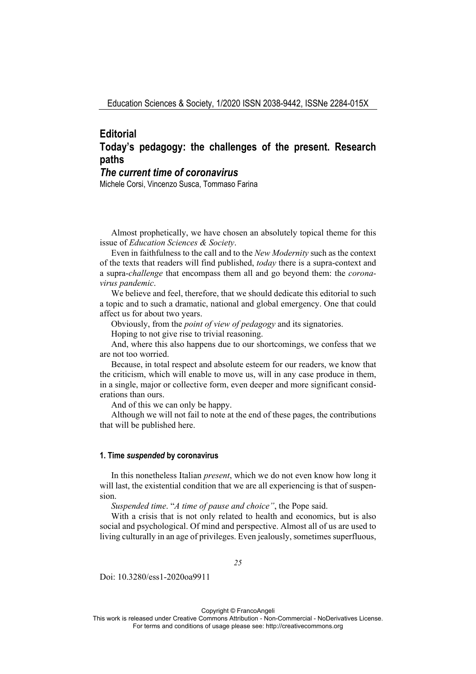# **Editorial Today's pedagogy: the challenges of the present. Research paths**

# *The current time of coronavirus*

Michele Corsi, Vincenzo Susca, Tommaso Farina

Almost prophetically, we have chosen an absolutely topical theme for this issue of *Education Sciences & Society*.

Even in faithfulness to the call and to the *New Modernity* such as the context of the texts that readers will find published, *today* there is a supra-context and a supra-*challenge* that encompass them all and go beyond them: the *coronavirus pandemic*.

We believe and feel, therefore, that we should dedicate this editorial to such a topic and to such a dramatic, national and global emergency. One that could affect us for about two years.

Obviously, from the *point of view of pedagogy* and its signatories.

Hoping to not give rise to trivial reasoning.

And, where this also happens due to our shortcomings, we confess that we are not too worried.

Because, in total respect and absolute esteem for our readers, we know that the criticism, which will enable to move us, will in any case produce in them, in a single, major or collective form, even deeper and more significant considerations than ours.

And of this we can only be happy.

Although we will not fail to note at the end of these pages, the contributions that will be published here.

#### **1. Time** *suspended* **by coronavirus**

In this nonetheless Italian *present*, which we do not even know how long it will last, the existential condition that we are all experiencing is that of suspension.

*Suspended time*. "*A time of pause and choice"*, the Pope said.

With a crisis that is not only related to health and economics, but is also social and psychological. Of mind and perspective. Almost all of us are used to living culturally in an age of privileges. Even jealously, sometimes superfluous,

*25* 

Doi: 10.3280/ess1-2020oa9911

Copyright © FrancoAngeli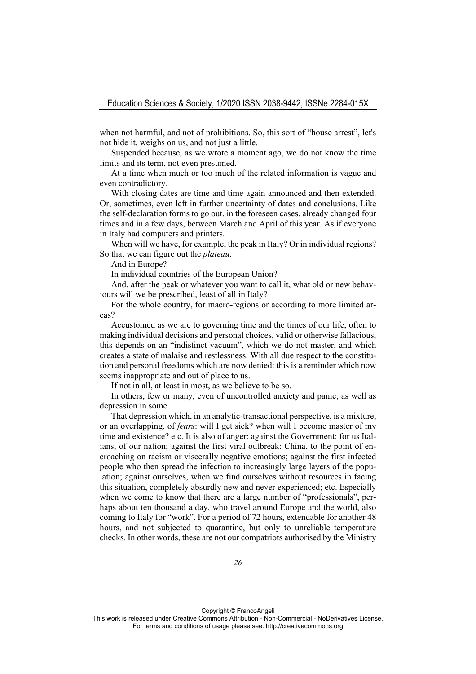when not harmful, and not of prohibitions. So, this sort of "house arrest", let's not hide it, weighs on us, and not just a little.

Suspended because, as we wrote a moment ago, we do not know the time limits and its term, not even presumed.

At a time when much or too much of the related information is vague and even contradictory.

With closing dates are time and time again announced and then extended. Or, sometimes, even left in further uncertainty of dates and conclusions. Like the self-declaration forms to go out, in the foreseen cases, already changed four times and in a few days, between March and April of this year. As if everyone in Italy had computers and printers.

When will we have, for example, the peak in Italy? Or in individual regions? So that we can figure out the *plateau*.

And in Europe?

In individual countries of the European Union?

And, after the peak or whatever you want to call it, what old or new behaviours will we be prescribed, least of all in Italy?

For the whole country, for macro-regions or according to more limited areas?

Accustomed as we are to governing time and the times of our life, often to making individual decisions and personal choices, valid or otherwise fallacious, this depends on an "indistinct vacuum", which we do not master, and which creates a state of malaise and restlessness. With all due respect to the constitution and personal freedoms which are now denied: this is a reminder which now seems inappropriate and out of place to us.

If not in all, at least in most, as we believe to be so.

In others, few or many, even of uncontrolled anxiety and panic; as well as depression in some.

That depression which, in an analytic-transactional perspective, is a mixture, or an overlapping, of *fears*: will I get sick? when will I become master of my time and existence? etc. It is also of anger: against the Government: for us Italians, of our nation; against the first viral outbreak: China, to the point of encroaching on racism or viscerally negative emotions; against the first infected people who then spread the infection to increasingly large layers of the population; against ourselves, when we find ourselves without resources in facing this situation, completely absurdly new and never experienced; etc. Especially when we come to know that there are a large number of "professionals", perhaps about ten thousand a day, who travel around Europe and the world, also coming to Italy for "work". For a period of 72 hours, extendable for another 48 hours, and not subjected to quarantine, but only to unreliable temperature checks. In other words, these are not our compatriots authorised by the Ministry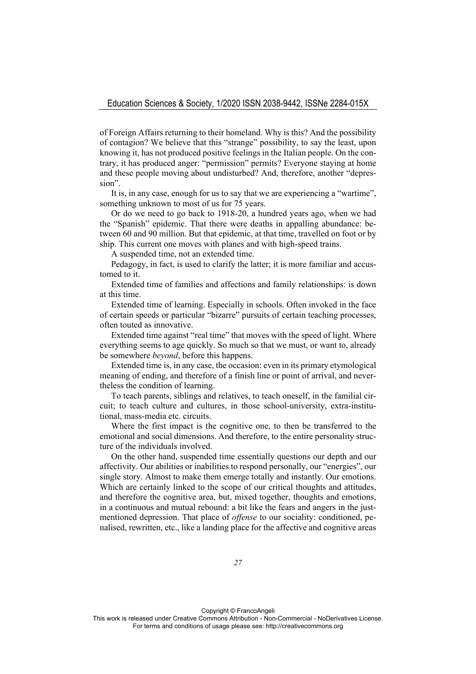of Foreign Affairs returning to their homeland. Why is this? And the possibility of contagion? We believe that this "strange" possibility, to say the least, upon knowing it, has not produced positive feelings in the Italian people. On the contrary, it has produced anger: "permission" permits? Everyone staying at home and these people moving about undisturbed? And, therefore, another "depression".

It is, in any case, enough for us to say that we are experiencing a "wartime", something unknown to most of us for 75 years.

Or do we need to go back to 1918-20, a hundred years ago, when we had the "Spanish" epidemic. That there were deaths in appalling abundance: between 60 and 90 million. But that epidemic, at that time, travelled on foot or by ship. This current one moves with planes and with high-speed trains.

A suspended time, not an extended time.

Pedagogy, in fact, is used to clarify the latter; it is more familiar and accustomed to it.

Extended time of families and affections and family relationships: is down at this time.

Extended time of learning. Especially in schools. Often invoked in the face of certain speeds or particular "bizarre" pursuits of certain teaching processes, often touted as innovative.

Extended time against "real time" that moves with the speed of light. Where everything seems to age quickly. So much so that we must, or want to, already be somewhere *beyond*, before this happens.

Extended time is, in any case, the occasion: even in its primary etymological meaning of ending, and therefore of a finish line or point of arrival, and nevertheless the condition of learning.

To teach parents, siblings and relatives, to teach oneself, in the familial circuit; to teach culture and cultures, in those school-university, extra-institutional, mass-media etc. circuits.

Where the first impact is the cognitive one, to then be transferred to the emotional and social dimensions. And therefore, to the entire personality structure of the individuals involved.

On the other hand, suspended time essentially questions our depth and our affectivity. Our abilities or inabilities to respond personally, our "energies", our single story. Almost to make them emerge totally and instantly. Our emotions. Which are certainly linked to the scope of our critical thoughts and attitudes, and therefore the cognitive area, but, mixed together, thoughts and emotions, in a continuous and mutual rebound: a bit like the fears and angers in the justmentioned depression. That place of *offense* to our sociality: conditioned, penalised, rewritten, etc., like a landing place for the affective and cognitive areas

Copyright © FrancoAngeli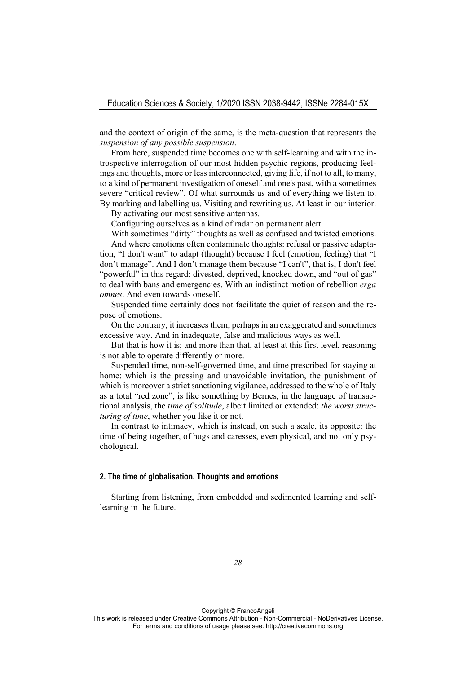and the context of origin of the same, is the meta-question that represents the *suspension of any possible suspension*.

From here, suspended time becomes one with self-learning and with the introspective interrogation of our most hidden psychic regions, producing feelings and thoughts, more or less interconnected, giving life, if not to all, to many, to a kind of permanent investigation of oneself and one's past, with a sometimes severe "critical review". Of what surrounds us and of everything we listen to. By marking and labelling us. Visiting and rewriting us. At least in our interior.

By activating our most sensitive antennas.

Configuring ourselves as a kind of radar on permanent alert.

With sometimes "dirty" thoughts as well as confused and twisted emotions. And where emotions often contaminate thoughts: refusal or passive adaptation, "I don't want" to adapt (thought) because I feel (emotion, feeling) that "I don't manage". And I don't manage them because "I can't", that is, I don't feel "powerful" in this regard: divested, deprived, knocked down, and "out of gas" to deal with bans and emergencies. With an indistinct motion of rebellion *erga omnes*. And even towards oneself.

Suspended time certainly does not facilitate the quiet of reason and the repose of emotions.

On the contrary, it increases them, perhaps in an exaggerated and sometimes excessive way. And in inadequate, false and malicious ways as well.

But that is how it is; and more than that, at least at this first level, reasoning is not able to operate differently or more.

Suspended time, non-self-governed time, and time prescribed for staying at home: which is the pressing and unavoidable invitation, the punishment of which is moreover a strict sanctioning vigilance, addressed to the whole of Italy as a total "red zone", is like something by Bernes, in the language of transactional analysis, the *time of solitude*, albeit limited or extended: *the worst structuring of time*, whether you like it or not.

In contrast to intimacy, which is instead, on such a scale, its opposite: the time of being together, of hugs and caresses, even physical, and not only psychological.

## **2. The time of globalisation. Thoughts and emotions**

Starting from listening, from embedded and sedimented learning and selflearning in the future.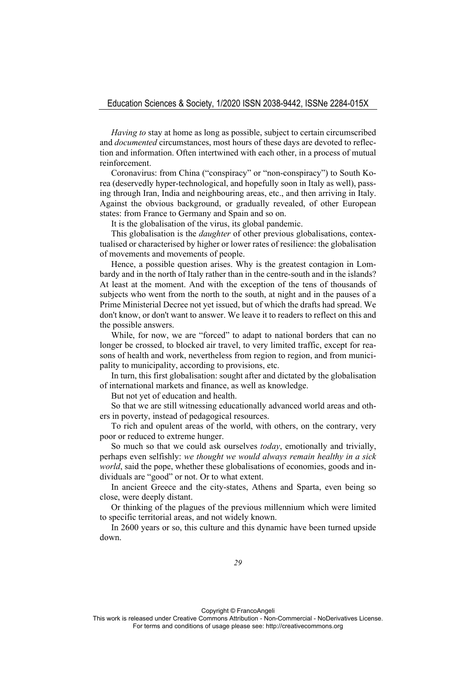*Having to* stay at home as long as possible, subject to certain circumscribed and *documented* circumstances, most hours of these days are devoted to reflection and information. Often intertwined with each other, in a process of mutual reinforcement.

Coronavirus: from China ("conspiracy" or "non-conspiracy") to South Korea (deservedly hyper-technological, and hopefully soon in Italy as well), passing through Iran, India and neighbouring areas, etc., and then arriving in Italy. Against the obvious background, or gradually revealed, of other European states: from France to Germany and Spain and so on.

It is the globalisation of the virus, its global pandemic.

This globalisation is the *daughter* of other previous globalisations, contextualised or characterised by higher or lower rates of resilience: the globalisation of movements and movements of people.

Hence, a possible question arises. Why is the greatest contagion in Lombardy and in the north of Italy rather than in the centre-south and in the islands? At least at the moment. And with the exception of the tens of thousands of subjects who went from the north to the south, at night and in the pauses of a Prime Ministerial Decree not yet issued, but of which the drafts had spread. We don't know, or don't want to answer. We leave it to readers to reflect on this and the possible answers.

While, for now, we are "forced" to adapt to national borders that can no longer be crossed, to blocked air travel, to very limited traffic, except for reasons of health and work, nevertheless from region to region, and from municipality to municipality, according to provisions, etc.

In turn, this first globalisation: sought after and dictated by the globalisation of international markets and finance, as well as knowledge.

But not yet of education and health.

So that we are still witnessing educationally advanced world areas and others in poverty, instead of pedagogical resources.

To rich and opulent areas of the world, with others, on the contrary, very poor or reduced to extreme hunger.

So much so that we could ask ourselves *today*, emotionally and trivially, perhaps even selfishly: *we thought we would always remain healthy in a sick world*, said the pope, whether these globalisations of economies, goods and individuals are "good" or not. Or to what extent.

In ancient Greece and the city-states, Athens and Sparta, even being so close, were deeply distant.

Or thinking of the plagues of the previous millennium which were limited to specific territorial areas, and not widely known.

In 2600 years or so, this culture and this dynamic have been turned upside down.

Copyright © FrancoAngeli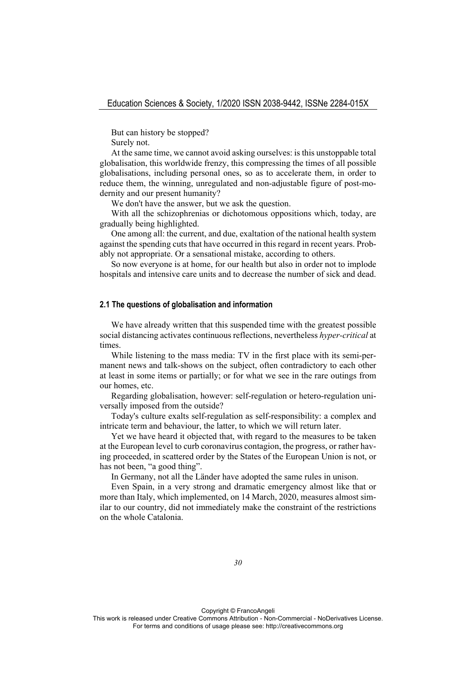But can history be stopped?

Surely not.

At the same time, we cannot avoid asking ourselves: is this unstoppable total globalisation, this worldwide frenzy, this compressing the times of all possible globalisations, including personal ones, so as to accelerate them, in order to reduce them, the winning, unregulated and non-adjustable figure of post-modernity and our present humanity?

We don't have the answer, but we ask the question.

With all the schizophrenias or dichotomous oppositions which, today, are gradually being highlighted.

One among all: the current, and due, exaltation of the national health system against the spending cuts that have occurred in this regard in recent years. Probably not appropriate. Or a sensational mistake, according to others.

So now everyone is at home, for our health but also in order not to implode hospitals and intensive care units and to decrease the number of sick and dead.

#### **2.1 The questions of globalisation and information**

We have already written that this suspended time with the greatest possible social distancing activates continuous reflections, nevertheless *hyper-critical* at times.

While listening to the mass media: TV in the first place with its semi-permanent news and talk-shows on the subject, often contradictory to each other at least in some items or partially; or for what we see in the rare outings from our homes, etc.

Regarding globalisation, however: self-regulation or hetero-regulation universally imposed from the outside?

Today's culture exalts self-regulation as self-responsibility: a complex and intricate term and behaviour, the latter, to which we will return later.

Yet we have heard it objected that, with regard to the measures to be taken at the European level to curb coronavirus contagion, the progress, or rather having proceeded, in scattered order by the States of the European Union is not, or has not been, "a good thing".

In Germany, not all the Länder have adopted the same rules in unison.

Even Spain, in a very strong and dramatic emergency almost like that or more than Italy, which implemented, on 14 March, 2020, measures almost similar to our country, did not immediately make the constraint of the restrictions on the whole Catalonia.

Copyright © FrancoAngeli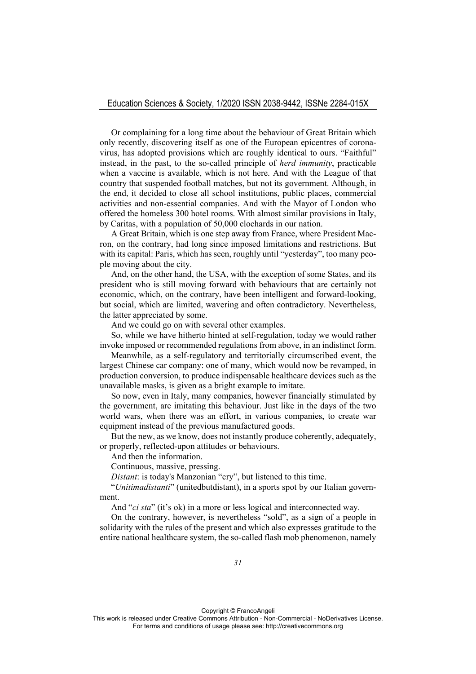Or complaining for a long time about the behaviour of Great Britain which only recently, discovering itself as one of the European epicentres of coronavirus, has adopted provisions which are roughly identical to ours. "Faithful" instead, in the past, to the so-called principle of *herd immunity*, practicable when a vaccine is available, which is not here. And with the League of that country that suspended football matches, but not its government. Although, in the end, it decided to close all school institutions, public places, commercial activities and non-essential companies. And with the Mayor of London who offered the homeless 300 hotel rooms. With almost similar provisions in Italy, by Caritas, with a population of 50,000 clochards in our nation.

A Great Britain, which is one step away from France, where President Macron, on the contrary, had long since imposed limitations and restrictions. But with its capital: Paris, which has seen, roughly until "yesterday", too many people moving about the city.

And, on the other hand, the USA, with the exception of some States, and its president who is still moving forward with behaviours that are certainly not economic, which, on the contrary, have been intelligent and forward-looking, but social, which are limited, wavering and often contradictory. Nevertheless, the latter appreciated by some.

And we could go on with several other examples.

So, while we have hitherto hinted at self-regulation, today we would rather invoke imposed or recommended regulations from above, in an indistinct form.

Meanwhile, as a self-regulatory and territorially circumscribed event, the largest Chinese car company: one of many, which would now be revamped, in production conversion, to produce indispensable healthcare devices such as the unavailable masks, is given as a bright example to imitate.

So now, even in Italy, many companies, however financially stimulated by the government, are imitating this behaviour. Just like in the days of the two world wars, when there was an effort, in various companies, to create war equipment instead of the previous manufactured goods.

But the new, as we know, does not instantly produce coherently, adequately, or properly, reflected-upon attitudes or behaviours.

And then the information.

Continuous, massive, pressing.

*Distant*: is today's Manzonian "cry", but listened to this time.

"*Unitimadistanti*" (unitedbutdistant), in a sports spot by our Italian government.

And "*ci sta*" (it's ok) in a more or less logical and interconnected way.

On the contrary, however, is nevertheless "sold", as a sign of a people in solidarity with the rules of the present and which also expresses gratitude to the entire national healthcare system, the so-called flash mob phenomenon, namely

Copyright © FrancoAngeli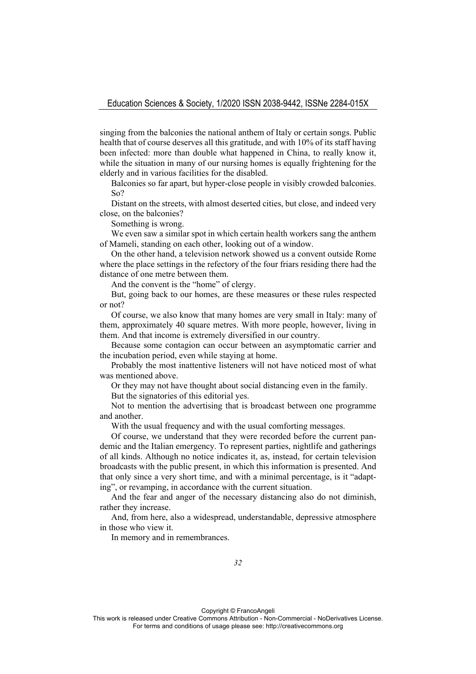singing from the balconies the national anthem of Italy or certain songs. Public health that of course deserves all this gratitude, and with 10% of its staff having been infected: more than double what happened in China, to really know it, while the situation in many of our nursing homes is equally frightening for the elderly and in various facilities for the disabled.

Balconies so far apart, but hyper-close people in visibly crowded balconies. So?

Distant on the streets, with almost deserted cities, but close, and indeed very close, on the balconies?

Something is wrong.

We even saw a similar spot in which certain health workers sang the anthem of Mameli, standing on each other, looking out of a window.

On the other hand, a television network showed us a convent outside Rome where the place settings in the refectory of the four friars residing there had the distance of one metre between them.

And the convent is the "home" of clergy.

But, going back to our homes, are these measures or these rules respected or not?

Of course, we also know that many homes are very small in Italy: many of them, approximately 40 square metres. With more people, however, living in them. And that income is extremely diversified in our country.

Because some contagion can occur between an asymptomatic carrier and the incubation period, even while staying at home.

Probably the most inattentive listeners will not have noticed most of what was mentioned above.

Or they may not have thought about social distancing even in the family.

But the signatories of this editorial yes.

Not to mention the advertising that is broadcast between one programme and another.

With the usual frequency and with the usual comforting messages.

Of course, we understand that they were recorded before the current pandemic and the Italian emergency. To represent parties, nightlife and gatherings of all kinds. Although no notice indicates it, as, instead, for certain television broadcasts with the public present, in which this information is presented. And that only since a very short time, and with a minimal percentage, is it "adapting", or revamping, in accordance with the current situation.

And the fear and anger of the necessary distancing also do not diminish, rather they increase.

And, from here, also a widespread, understandable, depressive atmosphere in those who view it.

In memory and in remembrances.

Copyright © FrancoAngeli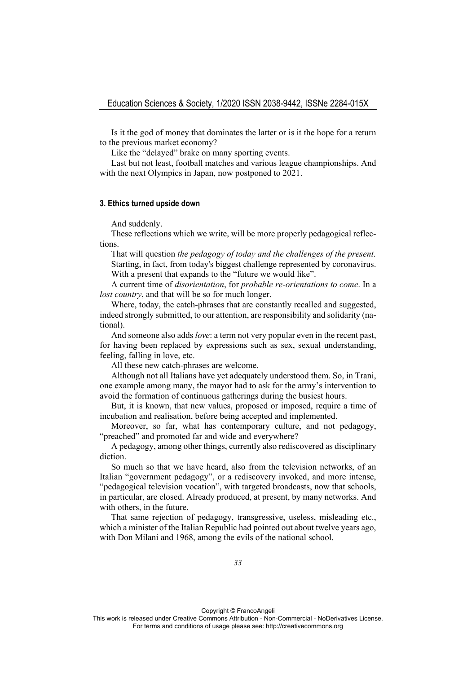Is it the god of money that dominates the latter or is it the hope for a return to the previous market economy?

Like the "delayed" brake on many sporting events.

Last but not least, football matches and various league championships. And with the next Olympics in Japan, now postponed to 2021.

#### **3. Ethics turned upside down**

And suddenly.

These reflections which we write, will be more properly pedagogical reflections.

That will question *the pedagogy of today and the challenges of the present*. Starting, in fact, from today's biggest challenge represented by coronavirus. With a present that expands to the "future we would like".

A current time of *disorientation*, for *probable re-orientations to come*. In a *lost country*, and that will be so for much longer.

Where, today, the catch-phrases that are constantly recalled and suggested, indeed strongly submitted, to our attention, are responsibility and solidarity (national).

And someone also adds *love*: a term not very popular even in the recent past, for having been replaced by expressions such as sex, sexual understanding, feeling, falling in love, etc.

All these new catch-phrases are welcome.

Although not all Italians have yet adequately understood them. So, in Trani, one example among many, the mayor had to ask for the army's intervention to avoid the formation of continuous gatherings during the busiest hours.

But, it is known, that new values, proposed or imposed, require a time of incubation and realisation, before being accepted and implemented.

Moreover, so far, what has contemporary culture, and not pedagogy, "preached" and promoted far and wide and everywhere?

A pedagogy, among other things, currently also rediscovered as disciplinary diction.

So much so that we have heard, also from the television networks, of an Italian "government pedagogy", or a rediscovery invoked, and more intense, "pedagogical television vocation", with targeted broadcasts, now that schools, in particular, are closed. Already produced, at present, by many networks. And with others, in the future.

That same rejection of pedagogy, transgressive, useless, misleading etc., which a minister of the Italian Republic had pointed out about twelve years ago, with Don Milani and 1968, among the evils of the national school.

Copyright © FrancoAngeli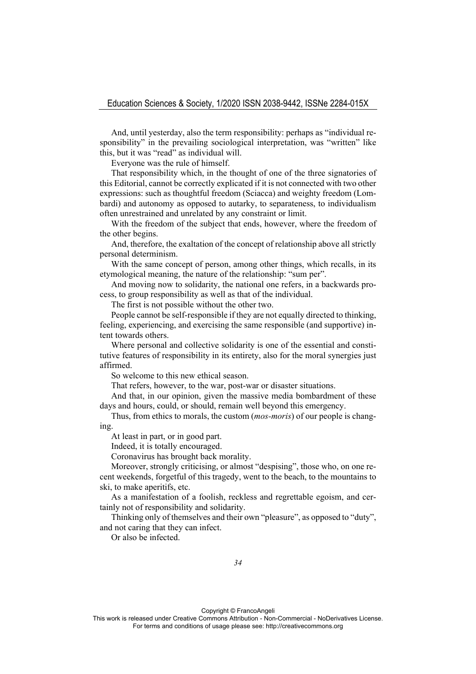And, until yesterday, also the term responsibility: perhaps as "individual responsibility" in the prevailing sociological interpretation, was "written" like this, but it was "read" as individual will.

Everyone was the rule of himself.

That responsibility which, in the thought of one of the three signatories of this Editorial, cannot be correctly explicated if it is not connected with two other expressions: such as thoughtful freedom (Sciacca) and weighty freedom (Lombardi) and autonomy as opposed to autarky, to separateness, to individualism often unrestrained and unrelated by any constraint or limit.

With the freedom of the subject that ends, however, where the freedom of the other begins.

And, therefore, the exaltation of the concept of relationship above all strictly personal determinism.

With the same concept of person, among other things, which recalls, in its etymological meaning, the nature of the relationship: "sum per".

And moving now to solidarity, the national one refers, in a backwards process, to group responsibility as well as that of the individual.

The first is not possible without the other two.

People cannot be self-responsible if they are not equally directed to thinking, feeling, experiencing, and exercising the same responsible (and supportive) intent towards others.

Where personal and collective solidarity is one of the essential and constitutive features of responsibility in its entirety, also for the moral synergies just affirmed.

So welcome to this new ethical season.

That refers, however, to the war, post-war or disaster situations.

And that, in our opinion, given the massive media bombardment of these days and hours, could, or should, remain well beyond this emergency.

Thus, from ethics to morals, the custom (*mos-moris*) of our people is changing.

At least in part, or in good part.

Indeed, it is totally encouraged.

Coronavirus has brought back morality.

Moreover, strongly criticising, or almost "despising", those who, on one recent weekends, forgetful of this tragedy, went to the beach, to the mountains to ski, to make aperitifs, etc.

As a manifestation of a foolish, reckless and regrettable egoism, and certainly not of responsibility and solidarity.

Thinking only of themselves and their own "pleasure", as opposed to "duty", and not caring that they can infect.

Or also be infected.

Copyright © FrancoAngeli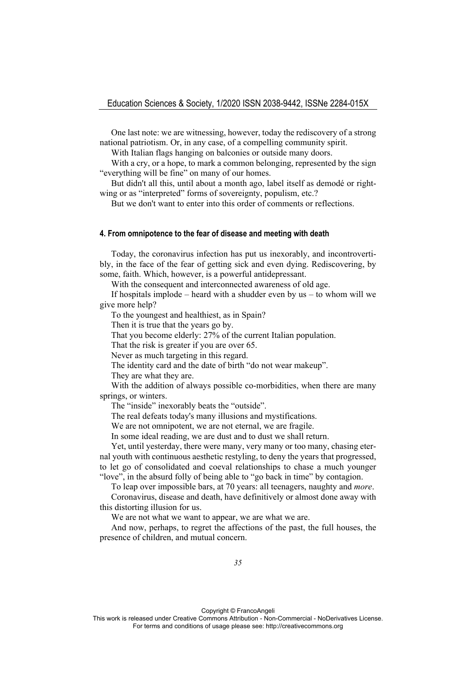One last note: we are witnessing, however, today the rediscovery of a strong national patriotism. Or, in any case, of a compelling community spirit.

With Italian flags hanging on balconies or outside many doors.

With a cry, or a hope, to mark a common belonging, represented by the sign "everything will be fine" on many of our homes.

But didn't all this, until about a month ago, label itself as demodé or rightwing or as "interpreted" forms of sovereignty, populism, etc.?

But we don't want to enter into this order of comments or reflections.

## **4. From omnipotence to the fear of disease and meeting with death**

Today, the coronavirus infection has put us inexorably, and incontrovertibly, in the face of the fear of getting sick and even dying. Rediscovering, by some, faith. Which, however, is a powerful antidepressant.

With the consequent and interconnected awareness of old age.

If hospitals implode – heard with a shudder even by  $us - to$  whom will we give more help?

To the youngest and healthiest, as in Spain?

Then it is true that the years go by.

That you become elderly: 27% of the current Italian population.

That the risk is greater if you are over 65.

Never as much targeting in this regard.

The identity card and the date of birth "do not wear makeup".

They are what they are.

With the addition of always possible co-morbidities, when there are many springs, or winters.

The "inside" inexorably beats the "outside".

The real defeats today's many illusions and mystifications.

We are not omnipotent, we are not eternal, we are fragile.

In some ideal reading, we are dust and to dust we shall return.

Yet, until yesterday, there were many, very many or too many, chasing eternal youth with continuous aesthetic restyling, to deny the years that progressed, to let go of consolidated and coeval relationships to chase a much younger "love", in the absurd folly of being able to "go back in time" by contagion.

To leap over impossible bars, at 70 years: all teenagers, naughty and *more*.

Coronavirus, disease and death, have definitively or almost done away with this distorting illusion for us.

We are not what we want to appear, we are what we are.

And now, perhaps, to regret the affections of the past, the full houses, the presence of children, and mutual concern.

Copyright © FrancoAngeli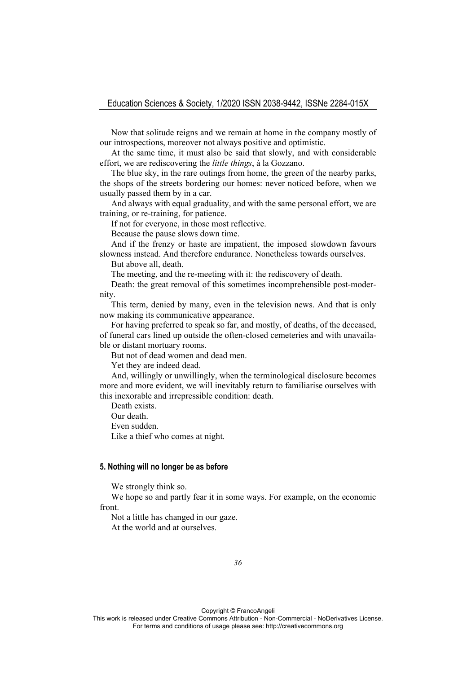Now that solitude reigns and we remain at home in the company mostly of our introspections, moreover not always positive and optimistic.

At the same time, it must also be said that slowly, and with considerable effort, we are rediscovering the *little things*, à la Gozzano.

The blue sky, in the rare outings from home, the green of the nearby parks, the shops of the streets bordering our homes: never noticed before, when we usually passed them by in a car.

And always with equal graduality, and with the same personal effort, we are training, or re-training, for patience.

If not for everyone, in those most reflective.

Because the pause slows down time.

And if the frenzy or haste are impatient, the imposed slowdown favours slowness instead. And therefore endurance. Nonetheless towards ourselves.

But above all, death.

The meeting, and the re-meeting with it: the rediscovery of death.

Death: the great removal of this sometimes incomprehensible post-modernity.

This term, denied by many, even in the television news. And that is only now making its communicative appearance.

For having preferred to speak so far, and mostly, of deaths, of the deceased, of funeral cars lined up outside the often-closed cemeteries and with unavailable or distant mortuary rooms.

But not of dead women and dead men.

Yet they are indeed dead.

And, willingly or unwillingly, when the terminological disclosure becomes more and more evident, we will inevitably return to familiarise ourselves with this inexorable and irrepressible condition: death.

Death exists.

Our death.

Even sudden.

Like a thief who comes at night.

#### **5. Nothing will no longer be as before**

We strongly think so.

We hope so and partly fear it in some ways. For example, on the economic front.

Not a little has changed in our gaze. At the world and at ourselves.

Copyright © FrancoAngeli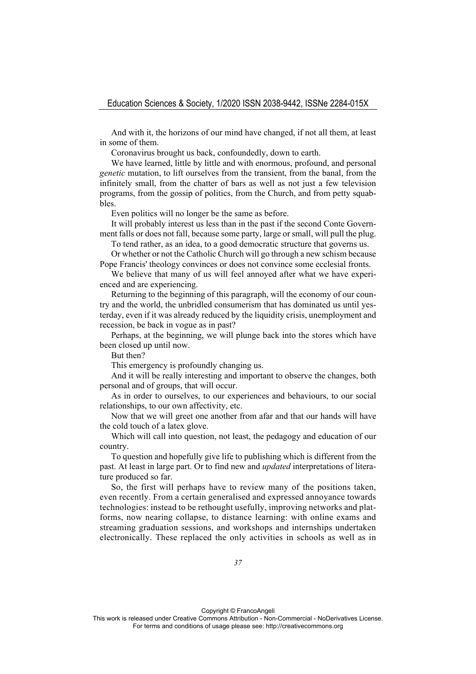And with it, the horizons of our mind have changed, if not all them, at least in some of them.

Coronavirus brought us back, confoundedly, down to earth.

We have learned, little by little and with enormous, profound, and personal *genetic* mutation, to lift ourselves from the transient, from the banal, from the infinitely small, from the chatter of bars as well as not just a few television programs, from the gossip of politics, from the Church, and from petty squabbles.

Even politics will no longer be the same as before.

It will probably interest us less than in the past if the second Conte Government falls or does not fall, because some party, large or small, will pull the plug.

To tend rather, as an idea, to a good democratic structure that governs us.

Or whether or not the Catholic Church will go through a new schism because Pope Francis' theology convinces or does not convince some ecclesial fronts.

We believe that many of us will feel annoyed after what we have experienced and are experiencing.

Returning to the beginning of this paragraph, will the economy of our country and the world, the unbridled consumerism that has dominated us until yesterday, even if it was already reduced by the liquidity crisis, unemployment and recession, be back in vogue as in past?

Perhaps, at the beginning, we will plunge back into the stores which have been closed up until now.

But then?

This emergency is profoundly changing us.

And it will be really interesting and important to observe the changes, both personal and of groups, that will occur.

As in order to ourselves, to our experiences and behaviours, to our social relationships, to our own affectivity, etc.

Now that we will greet one another from afar and that our hands will have the cold touch of a latex glove.

Which will call into question, not least, the pedagogy and education of our country.

To question and hopefully give life to publishing which is different from the past. At least in large part. Or to find new and *updated* interpretations of literature produced so far.

So, the first will perhaps have to review many of the positions taken, even recently. From a certain generalised and expressed annoyance towards technologies: instead to be rethought usefully, improving networks and platforms, now nearing collapse, to distance learning: with online exams and streaming graduation sessions, and workshops and internships undertaken electronically. These replaced the only activities in schools as well as in

Copyright © FrancoAngeli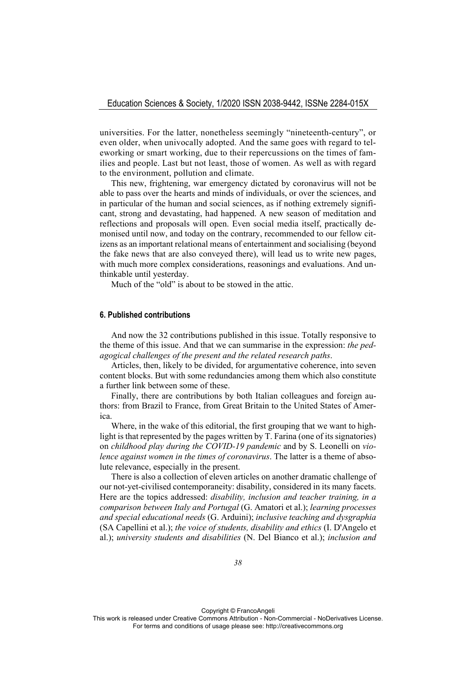universities. For the latter, nonetheless seemingly "nineteenth-century", or even older, when univocally adopted. And the same goes with regard to teleworking or smart working, due to their repercussions on the times of families and people. Last but not least, those of women. As well as with regard to the environment, pollution and climate.

This new, frightening, war emergency dictated by coronavirus will not be able to pass over the hearts and minds of individuals, or over the sciences, and in particular of the human and social sciences, as if nothing extremely significant, strong and devastating, had happened. A new season of meditation and reflections and proposals will open. Even social media itself, practically demonised until now, and today on the contrary, recommended to our fellow citizens as an important relational means of entertainment and socialising (beyond the fake news that are also conveyed there), will lead us to write new pages, with much more complex considerations, reasonings and evaluations. And unthinkable until yesterday.

Much of the "old" is about to be stowed in the attic.

#### **6. Published contributions**

And now the 32 contributions published in this issue. Totally responsive to the theme of this issue. And that we can summarise in the expression: *the pedagogical challenges of the present and the related research paths*.

Articles, then, likely to be divided, for argumentative coherence, into seven content blocks. But with some redundancies among them which also constitute a further link between some of these.

Finally, there are contributions by both Italian colleagues and foreign authors: from Brazil to France, from Great Britain to the United States of America.

Where, in the wake of this editorial, the first grouping that we want to highlight is that represented by the pages written by T. Farina (one of its signatories) on *childhood play during the COVID-19 pandemic* and by S. Leonelli on *violence against women in the times of coronavirus*. The latter is a theme of absolute relevance, especially in the present.

There is also a collection of eleven articles on another dramatic challenge of our not-yet-civilised contemporaneity: disability, considered in its many facets. Here are the topics addressed: *disability, inclusion and teacher training, in a comparison between Italy and Portugal* (G. Amatori et al.); *learning processes and special educational needs* (G. Arduini); *inclusive teaching and dysgraphia* (SA Capellini et al.); *the voice of students, disability and ethics* (I. D'Angelo et al.); *university students and disabilities* (N. Del Bianco et al.); *inclusion and* 

Copyright © FrancoAngeli

This work is released under Creative Commons Attribution - Non-Commercial - NoDerivatives License. For terms and conditions of usage please see: http://creativecommons.org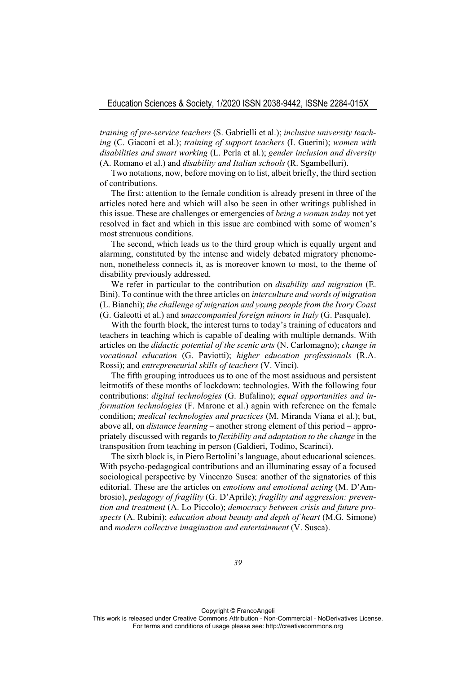*training of pre-service teachers* (S. Gabrielli et al.); *inclusive university teaching* (C. Giaconi et al.); *training of support teachers* (I. Guerini); *women with disabilities and smart working* (L. Perla et al.); *gender inclusion and diversity* (A. Romano et al.) and *disability and Italian schools* (R. Sgambelluri).

Two notations, now, before moving on to list, albeit briefly, the third section of contributions.

The first: attention to the female condition is already present in three of the articles noted here and which will also be seen in other writings published in this issue. These are challenges or emergencies of *being a woman today* not yet resolved in fact and which in this issue are combined with some of women's most strenuous conditions.

The second, which leads us to the third group which is equally urgent and alarming, constituted by the intense and widely debated migratory phenomenon, nonetheless connects it, as is moreover known to most, to the theme of disability previously addressed.

We refer in particular to the contribution on *disability and migration* (E. Bini). To continue with the three articles on *interculture and words of migration* (L. Bianchi); *the challenge of migration and young people from the Ivory Coast* (G. Galeotti et al.) and *unaccompanied foreign minors in Italy* (G. Pasquale).

With the fourth block, the interest turns to today's training of educators and teachers in teaching which is capable of dealing with multiple demands. With articles on the *didactic potential of the scenic arts* (N. Carlomagno); *change in vocational education* (G. Paviotti); *higher education professionals* (R.A. Rossi); and *entrepreneurial skills of teachers* (V. Vinci).

The fifth grouping introduces us to one of the most assiduous and persistent leitmotifs of these months of lockdown: technologies. With the following four contributions: *digital technologies* (G. Bufalino); *equal opportunities and information technologies* (F. Marone et al.) again with reference on the female condition; *medical technologies and practices* (M. Miranda Viana et al.); but, above all, on *distance learning* – another strong element of this period – appropriately discussed with regards to *flexibility and adaptation to the change* in the transposition from teaching in person (Galdieri, Todino, Scarinci).

The sixth block is, in Piero Bertolini's language, about educational sciences. With psycho-pedagogical contributions and an illuminating essay of a focused sociological perspective by Vincenzo Susca: another of the signatories of this editorial. These are the articles on *emotions and emotional acting* (M. D'Ambrosio), *pedagogy of fragility* (G. D'Aprile); *fragility and aggression: prevention and treatment* (A. Lo Piccolo); *democracy between crisis and future prospects* (A. Rubini); *education about beauty and depth of heart* (M.G. Simone) and *modern collective imagination and entertainment* (V. Susca).